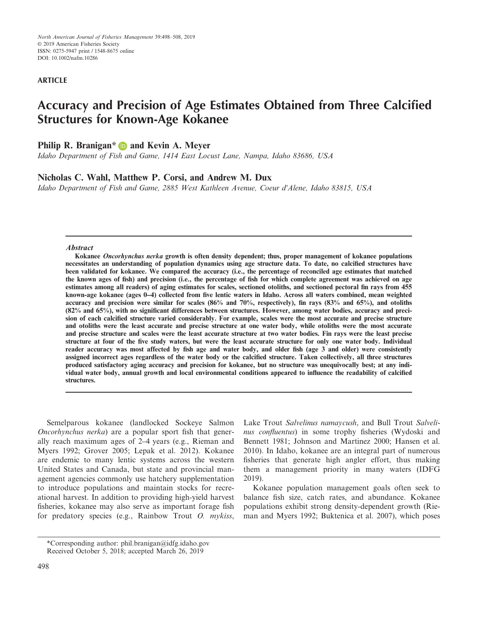*North American Journal of Fisheries Management* 39:498–508, 2019 © 2019 American Fisheries Society ISSN: 0275-5947 print / 1548-8675 online DOI: 10.1002/nafm.10286

## **ARTICLE**

# **Accuracy and Precision of Age Estimates Obtained from Three Calcified Structures for Known‐Age Kokanee**

## **Philip R. Branigan[\\*](https://orcid.org/0000-0003-3799-0573) and Kevin A. Meyer**

*Idaho Department of Fish and Game, 1414 East Locust Lane, Nampa, Idaho 83686, USA*

## **Nicholas C. Wahl, Matthew P. Corsi, and Andrew M. Dux**

*Idaho Department of Fish and Game, 2885 West Kathleen Avenue, Coeur d'Alene, Idaho 83815, USA*

### **Abstract**

**Kokanee Oncorhynchus nerka growth is often density dependent; thus, proper management of kokanee populations necessitates an understanding of population dynamics using age structure data. To date, no calcified structures have been validated for kokanee. We compared the accuracy (i.e., the percentage of reconciled age estimates that matched the known ages of fish) and precision (i.e., the percentage of fish for which complete agreement was achieved on age estimates among all readers) of aging estimates for scales, sectioned otoliths, and sectioned pectoral fin rays from 455 known‐age kokanee (ages 0–4) collected from five lentic waters in Idaho. Across all waters combined, mean weighted accuracy and precision were similar for scales (86% and 70%, respectively), fin rays (83% and 65%), and otoliths (82% and 65%), with no significant differences between structures. However, among water bodies, accuracy and precision of each calcified structure varied considerably. For example, scales were the most accurate and precise structure and otoliths were the least accurate and precise structure at one water body, while otoliths were the most accurate and precise structure and scales were the least accurate structure at two water bodies. Fin rays were the least precise structure at four of the five study waters, but were the least accurate structure for only one water body. Individual reader accuracy was most affected by fish age and water body, and older fish (age 3 and older) were consistently assigned incorrect ages regardless of the water body or the calcified structure. Taken collectively, all three structures produced satisfactory aging accuracy and precision for kokanee, but no structure was unequivocally best; at any individual water body, annual growth and local environmental conditions appeared to influence the readability of calcified structures.**

Semelparous kokanee (landlocked Sockeye Salmon *Oncorhynchus nerka*) are a popular sport fish that generally reach maximum ages of 2–4 years (e.g., Rieman and Myers 1992; Grover 2005; Lepak et al. 2012). Kokanee are endemic to many lentic systems across the western United States and Canada, but state and provincial management agencies commonly use hatchery supplementation to introduce populations and maintain stocks for recreational harvest. In addition to providing high‐yield harvest fisheries, kokanee may also serve as important forage fish for predatory species (e.g., Rainbow Trout *O. mykiss*,

Lake Trout *Salvelinus namaycush*, and Bull Trout *Salvelinus confluentus*) in some trophy fisheries (Wydoski and Bennett 1981; Johnson and Martinez 2000; Hansen et al. 2010). In Idaho, kokanee are an integral part of numerous fisheries that generate high angler effort, thus making them a management priority in many waters (IDFG 2019).

Kokanee population management goals often seek to balance fish size, catch rates, and abundance. Kokanee populations exhibit strong density‐dependent growth (Rieman and Myers 1992; Buktenica et al. 2007), which poses

<sup>\*</sup>Corresponding author: [phil.branigan@idfg.idaho.gov](mailto:) Received October 5, 2018; accepted March 26, 2019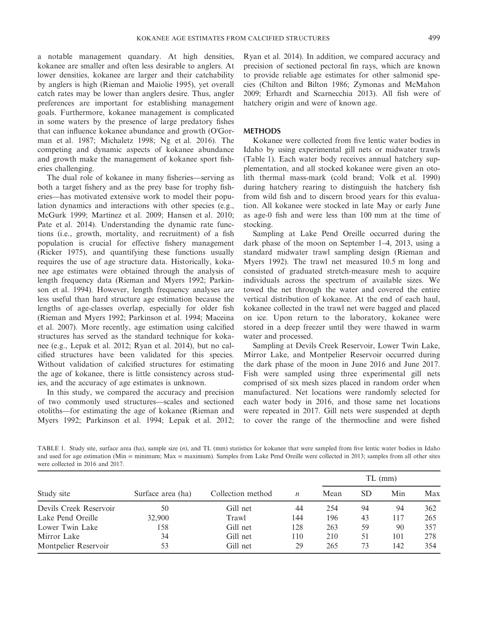a notable management quandary. At high densities, kokanee are smaller and often less desirable to anglers. At lower densities, kokanee are larger and their catchability by anglers is high (Rieman and Maiolie 1995), yet overall catch rates may be lower than anglers desire. Thus, angler preferences are important for establishing management goals. Furthermore, kokanee management is complicated in some waters by the presence of large predatory fishes that can influence kokanee abundance and growth (O'Gorman et al. 1987; Michaletz 1998; Ng et al. 2016). The competing and dynamic aspects of kokanee abundance and growth make the management of kokanee sport fisheries challenging.

The dual role of kokanee in many fisheries—serving as both a target fishery and as the prey base for trophy fisheries—has motivated extensive work to model their population dynamics and interactions with other species (e.g., McGurk 1999; Martinez et al. 2009; Hansen et al. 2010; Pate et al. 2014). Understanding the dynamic rate functions (i.e., growth, mortality, and recruitment) of a fish population is crucial for effective fishery management (Ricker 1975), and quantifying these functions usually requires the use of age structure data. Historically, kokanee age estimates were obtained through the analysis of length frequency data (Rieman and Myers 1992; Parkinson et al. 1994). However, length frequency analyses are less useful than hard structure age estimation because the lengths of age‐classes overlap, especially for older fish (Rieman and Myers 1992; Parkinson et al. 1994; Maceina et al. 2007). More recently, age estimation using calcified structures has served as the standard technique for kokanee (e.g., Lepak et al. 2012; Ryan et al. 2014), but no calcified structures have been validated for this species. Without validation of calcified structures for estimating the age of kokanee, there is little consistency across studies, and the accuracy of age estimates is unknown.

In this study, we compared the accuracy and precision of two commonly used structures—scales and sectioned otoliths—for estimating the age of kokanee (Rieman and Myers 1992; Parkinson et al. 1994; Lepak et al. 2012; Ryan et al. 2014). In addition, we compared accuracy and precision of sectioned pectoral fin rays, which are known to provide reliable age estimates for other salmonid species (Chilton and Bilton 1986; Zymonas and McMahon 2009; Erhardt and Scarnecchia 2013). All fish were of hatchery origin and were of known age.

#### **METHODS**

Kokanee were collected from five lentic water bodies in Idaho by using experimental gill nets or midwater trawls (Table 1). Each water body receives annual hatchery supplementation, and all stocked kokanee were given an otolith thermal mass‐mark (cold brand; Volk et al. 1990) during hatchery rearing to distinguish the hatchery fish from wild fish and to discern brood years for this evaluation. All kokanee were stocked in late May or early June as age‐0 fish and were less than 100 mm at the time of stocking.

Sampling at Lake Pend Oreille occurred during the dark phase of the moon on September 1–4, 2013, using a standard midwater trawl sampling design (Rieman and Myers 1992). The trawl net measured 10.5 m long and consisted of graduated stretch‐measure mesh to acquire individuals across the spectrum of available sizes. We towed the net through the water and covered the entire vertical distribution of kokanee. At the end of each haul, kokanee collected in the trawl net were bagged and placed on ice. Upon return to the laboratory, kokanee were stored in a deep freezer until they were thawed in warm water and processed.

Sampling at Devils Creek Reservoir, Lower Twin Lake, Mirror Lake, and Montpelier Reservoir occurred during the dark phase of the moon in June 2016 and June 2017. Fish were sampled using three experimental gill nets comprised of six mesh sizes placed in random order when manufactured. Net locations were randomly selected for each water body in 2016, and those same net locations were repeated in 2017. Gill nets were suspended at depth to cover the range of the thermocline and were fished

TABLE 1. Study site, surface area (ha), sample size (*n*), and TL (mm) statistics for kokanee that were sampled from five lentic water bodies in Idaho and used for age estimation (Min = minimum; Max = maximum). Samples from Lake Pend Oreille were collected in 2013; samples from all other sites were collected in 2016 and 2017.

| Study site             | Surface area (ha) | Collection method |     | $TL$ (mm) |           |     |     |
|------------------------|-------------------|-------------------|-----|-----------|-----------|-----|-----|
|                        |                   |                   | n   | Mean      | <b>SD</b> | Min | Max |
| Devils Creek Reservoir | 50                | Gill net          | 44  | 254       | 94        | 94  | 362 |
| Lake Pend Oreille      | 32,900            | Trawl             | 144 | 196       | 43        | 117 | 265 |
| Lower Twin Lake        | 158               | Gill net          | 128 | 263       | 59        | 90  | 357 |
| Mirror Lake            | 34                | Gill net          | 110 | 210       | 51        | 101 | 278 |
| Montpelier Reservoir   | 53                | Gill net          | 29  | 265       | 73        | 142 | 354 |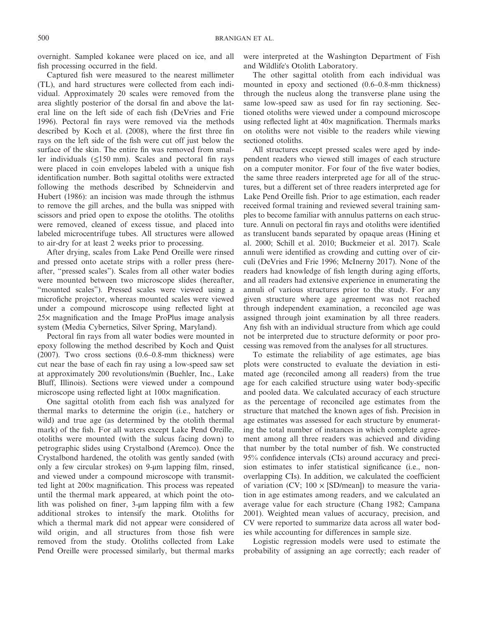overnight. Sampled kokanee were placed on ice, and all fish processing occurred in the field.

Captured fish were measured to the nearest millimeter (TL), and hard structures were collected from each individual. Approximately 20 scales were removed from the area slightly posterior of the dorsal fin and above the lateral line on the left side of each fish (DeVries and Frie 1996). Pectoral fin rays were removed via the methods described by Koch et al. (2008), where the first three fin rays on the left side of the fish were cut off just below the surface of the skin. The entire fin was removed from smaller individuals  $(\leq 150 \text{ mm})$ . Scales and pectoral fin rays were placed in coin envelopes labeled with a unique fish identification number. Both sagittal otoliths were extracted following the methods described by Schneidervin and Hubert (1986): an incision was made through the isthmus to remove the gill arches, and the bulla was snipped with scissors and pried open to expose the otoliths. The otoliths were removed, cleaned of excess tissue, and placed into labeled microcentrifuge tubes. All structures were allowed to air‐dry for at least 2 weeks prior to processing.

After drying, scales from Lake Pend Oreille were rinsed and pressed onto acetate strips with a roller press (hereafter, "pressed scales"). Scales from all other water bodies were mounted between two microscope slides (hereafter, "mounted scales"). Pressed scales were viewed using a microfiche projector, whereas mounted scales were viewed under a compound microscope using reflected light at 25× magnification and the Image ProPlus image analysis system (Media Cybernetics, Silver Spring, Maryland).

Pectoral fin rays from all water bodies were mounted in epoxy following the method described by Koch and Quist (2007). Two cross sections (0.6–0.8‐mm thickness) were cut near the base of each fin ray using a low‐speed saw set at approximately 200 revolutions/min (Buehler, Inc., Lake Bluff, Illinois). Sections were viewed under a compound microscope using reflected light at  $100\times$  magnification.

One sagittal otolith from each fish was analyzed for thermal marks to determine the origin (i.e., hatchery or wild) and true age (as determined by the otolith thermal mark) of the fish. For all waters except Lake Pend Oreille, otoliths were mounted (with the sulcus facing down) to petrographic slides using Crystalbond (Aremco). Once the Crystalbond hardened, the otolith was gently sanded (with only a few circular strokes) on 9‐μm lapping film, rinsed, and viewed under a compound microscope with transmitted light at 200× magnification. This process was repeated until the thermal mark appeared, at which point the otolith was polished on finer, 3‐μm lapping film with a few additional strokes to intensify the mark. Otoliths for which a thermal mark did not appear were considered of wild origin, and all structures from those fish were removed from the study. Otoliths collected from Lake Pend Oreille were processed similarly, but thermal marks were interpreted at the Washington Department of Fish and Wildlife's Otolith Laboratory.

The other sagittal otolith from each individual was mounted in epoxy and sectioned (0.6–0.8‐mm thickness) through the nucleus along the transverse plane using the same low-speed saw as used for fin ray sectioning. Sectioned otoliths were viewed under a compound microscope using reflected light at  $40\times$  magnification. Thermals marks on otoliths were not visible to the readers while viewing sectioned otoliths.

All structures except pressed scales were aged by independent readers who viewed still images of each structure on a computer monitor. For four of the five water bodies, the same three readers interpreted age for all of the structures, but a different set of three readers interpreted age for Lake Pend Oreille fish. Prior to age estimation, each reader received formal training and reviewed several training samples to become familiar with annulus patterns on each structure. Annuli on pectoral fin rays and otoliths were identified as translucent bands separated by opaque areas (Hining et al. 2000; Schill et al. 2010; Buckmeier et al. 2017). Scale annuli were identified as crowding and cutting over of circuli (DeVries and Frie 1996; McInerny 2017). None of the readers had knowledge of fish length during aging efforts, and all readers had extensive experience in enumerating the annuli of various structures prior to the study. For any given structure where age agreement was not reached through independent examination, a reconciled age was assigned through joint examination by all three readers. Any fish with an individual structure from which age could not be interpreted due to structure deformity or poor processing was removed from the analyses for all structures.

To estimate the reliability of age estimates, age bias plots were constructed to evaluate the deviation in estimated age (reconciled among all readers) from the true age for each calcified structure using water body‐specific and pooled data. We calculated accuracy of each structure as the percentage of reconciled age estimates from the structure that matched the known ages of fish. Precision in age estimates was assessed for each structure by enumerating the total number of instances in which complete agreement among all three readers was achieved and dividing that number by the total number of fish. We constructed 95% confidence intervals (CIs) around accuracy and precision estimates to infer statistical significance (i.e., nonoverlapping CIs). In addition, we calculated the coefficient of variation (CV;  $100 \times$  [SD/mean]) to measure the variation in age estimates among readers, and we calculated an average value for each structure (Chang 1982; Campana 2001). Weighted mean values of accuracy, precision, and CV were reported to summarize data across all water bodies while accounting for differences in sample size.

Logistic regression models were used to estimate the probability of assigning an age correctly; each reader of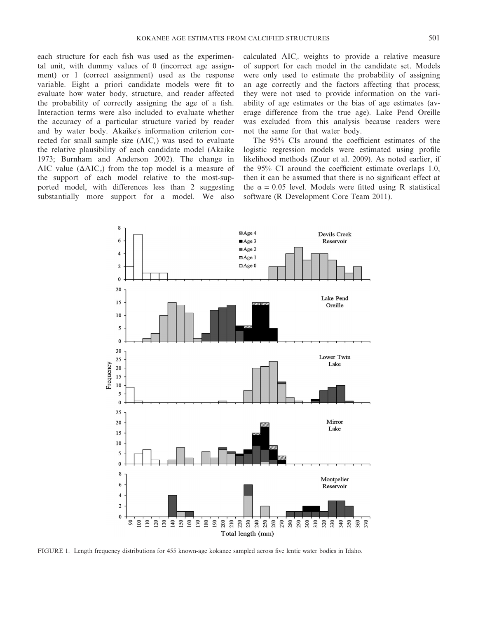each structure for each fish was used as the experimental unit, with dummy values of 0 (incorrect age assignment) or 1 (correct assignment) used as the response variable. Eight a priori candidate models were fit to evaluate how water body, structure, and reader affected the probability of correctly assigning the age of a fish. Interaction terms were also included to evaluate whether the accuracy of a particular structure varied by reader and by water body. Akaike's information criterion corrected for small sample size (AIC*c*) was used to evaluate the relative plausibility of each candidate model (Akaike 1973; Burnham and Anderson 2002). The change in AIC value  $(\Delta AIC_c)$  from the top model is a measure of the support of each model relative to the most‐supported model, with differences less than 2 suggesting substantially more support for a model. We also

calculated AIC*<sup>c</sup>* weights to provide a relative measure of support for each model in the candidate set. Models were only used to estimate the probability of assigning an age correctly and the factors affecting that process; they were not used to provide information on the variability of age estimates or the bias of age estimates (average difference from the true age). Lake Pend Oreille was excluded from this analysis because readers were not the same for that water body.

The 95% CIs around the coefficient estimates of the logistic regression models were estimated using profile likelihood methods (Zuur et al. 2009). As noted earlier, if the 95% CI around the coefficient estimate overlaps 1.0, then it can be assumed that there is no significant effect at the  $\alpha = 0.05$  level. Models were fitted using R statistical software (R Development Core Team 2011).



FIGURE 1. Length frequency distributions for 455 known-age kokanee sampled across five lentic water bodies in Idaho.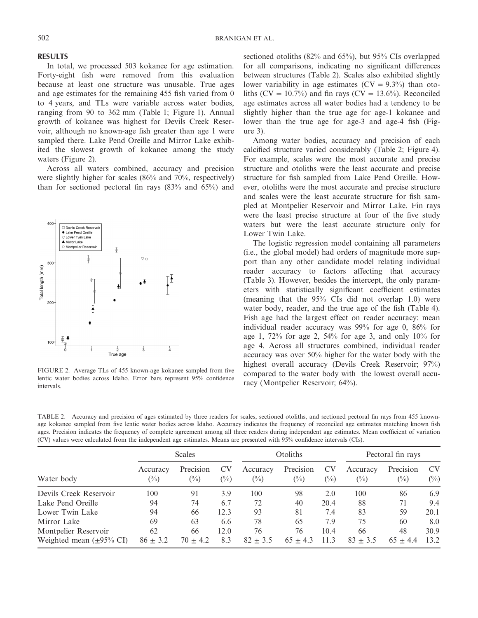## **RESULTS**

In total, we processed 503 kokanee for age estimation. Forty‐eight fish were removed from this evaluation because at least one structure was unusable. True ages and age estimates for the remaining 455 fish varied from 0 to 4 years, and TLs were variable across water bodies, ranging from 90 to 362 mm (Table 1; Figure 1). Annual growth of kokanee was highest for Devils Creek Reservoir, although no known‐age fish greater than age 1 were sampled there. Lake Pend Oreille and Mirror Lake exhibited the slowest growth of kokanee among the study waters (Figure 2).

Across all waters combined, accuracy and precision were slightly higher for scales (86% and 70%, respectively) than for sectioned pectoral fin rays (83% and 65%) and



FIGURE 2. Average TLs of 455 known-age kokanee sampled from five lentic water bodies across Idaho. Error bars represent 95% confidence intervals.

sectioned otoliths (82% and 65%), but 95% CIs overlapped for all comparisons, indicating no significant differences between structures (Table 2). Scales also exhibited slightly lower variability in age estimates  $(CV = 9.3\%)$  than otoliths (CV = 10.7%) and fin rays (CV = 13.6%). Reconciled age estimates across all water bodies had a tendency to be slightly higher than the true age for age-1 kokanee and lower than the true age for age-3 and age-4 fish (Figure 3).

Among water bodies, accuracy and precision of each calcified structure varied considerably (Table 2; Figure 4). For example, scales were the most accurate and precise structure and otoliths were the least accurate and precise structure for fish sampled from Lake Pend Oreille. However, otoliths were the most accurate and precise structure and scales were the least accurate structure for fish sampled at Montpelier Reservoir and Mirror Lake. Fin rays were the least precise structure at four of the five study waters but were the least accurate structure only for Lower Twin Lake.

The logistic regression model containing all parameters (i.e., the global model) had orders of magnitude more support than any other candidate model relating individual reader accuracy to factors affecting that accuracy (Table 3). However, besides the intercept, the only parameters with statistically significant coefficient estimates (meaning that the 95% CIs did not overlap 1.0) were water body, reader, and the true age of the fish (Table 4). Fish age had the largest effect on reader accuracy: mean individual reader accuracy was 99% for age 0, 86% for age 1, 72% for age 2, 54% for age 3, and only 10% for age 4. Across all structures combined, individual reader accuracy was over 50% higher for the water body with the highest overall accuracy (Devils Creek Reservoir; 97%) compared to the water body with the lowest overall accuracy (Montpelier Reservoir; 64%).

TABLE 2. Accuracy and precision of ages estimated by three readers for scales, sectioned otoliths, and sectioned pectoral fin rays from 455 knownage kokanee sampled from five lentic water bodies across Idaho. Accuracy indicates the frequency of reconciled age estimates matching known fish ages. Precision indicates the frequency of complete agreement among all three readers during independent age estimates. Mean coefficient of variation (CV) values were calculated from the independent age estimates. Means are presented with 95% confidence intervals (CIs).

|                                       | <b>Scales</b>              |                             |        | <b>Otoliths</b>            |                             |              | Pectoral fin rays  |                     |                     |
|---------------------------------------|----------------------------|-----------------------------|--------|----------------------------|-----------------------------|--------------|--------------------|---------------------|---------------------|
| Water body                            | Accuracy<br>$\binom{0}{0}$ | Precision<br>$\binom{0}{0}$ | $(\%)$ | Accuracy<br>$\binom{0}{0}$ | Precision<br>$\binom{0}{0}$ | CV<br>$(\%)$ | Accuracy<br>$(\%)$ | Precision<br>$(\%)$ | <b>CV</b><br>$(\%)$ |
| Devils Creek Reservoir                | 100                        | 91                          | 3.9    | 100                        | 98                          | 2.0          | 100                | 86                  | 6.9                 |
| Lake Pend Oreille                     | 94                         | 74                          | 6.7    | 72                         | 40                          | 20.4         | 88                 | 71                  | 9.4                 |
| Lower Twin Lake                       | 94                         | 66                          | 12.3   | 93                         | 81                          | 7.4          | 83                 | 59                  | 20.1                |
| Mirror Lake                           | 69                         | 63                          | 6.6    | 78                         | 65                          | 7.9          | 75                 | 60                  | 8.0                 |
| Montpelier Reservoir                  | 62                         | 66                          | 12.0   | 76                         | 76                          | 10.4         | 66                 | 48                  | 30.9                |
| Weighted mean $(\pm 95\% \text{ CI})$ | $86 + 3.2$                 | $70 + 4.2$                  | 8.3    | $82 + 3.5$                 | $65 + 4.3$                  | 11.3         | $83 + 3.5$         | $65 \pm 4.4$        | 13.2                |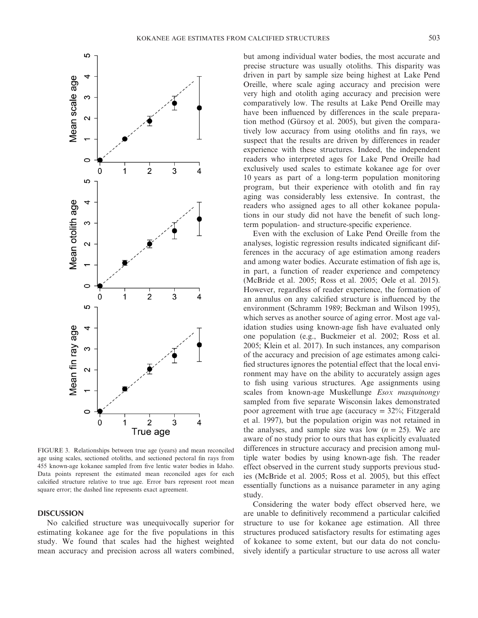

FIGURE 3. Relationships between true age (years) and mean reconciled age using scales, sectioned otoliths, and sectioned pectoral fin rays from 455 known‐age kokanee sampled from five lentic water bodies in Idaho. Data points represent the estimated mean reconciled ages for each calcified structure relative to true age. Error bars represent root mean square error; the dashed line represents exact agreement.

#### **DISCUSSION**

No calcified structure was unequivocally superior for estimating kokanee age for the five populations in this study. We found that scales had the highest weighted mean accuracy and precision across all waters combined, but among individual water bodies, the most accurate and precise structure was usually otoliths. This disparity was driven in part by sample size being highest at Lake Pend Oreille, where scale aging accuracy and precision were very high and otolith aging accuracy and precision were comparatively low. The results at Lake Pend Oreille may have been influenced by differences in the scale preparation method (Gürsoy et al. 2005), but given the comparatively low accuracy from using otoliths and fin rays, we suspect that the results are driven by differences in reader experience with these structures. Indeed, the independent readers who interpreted ages for Lake Pend Oreille had exclusively used scales to estimate kokanee age for over 10 years as part of a long‐term population monitoring program, but their experience with otolith and fin ray aging was considerably less extensive. In contrast, the readers who assigned ages to all other kokanee populations in our study did not have the benefit of such long‐ term population‐ and structure‐specific experience.

Even with the exclusion of Lake Pend Oreille from the analyses, logistic regression results indicated significant differences in the accuracy of age estimation among readers and among water bodies. Accurate estimation of fish age is, in part, a function of reader experience and competency (McBride et al. 2005; Ross et al. 2005; Oele et al. 2015). However, regardless of reader experience, the formation of an annulus on any calcified structure is influenced by the environment (Schramm 1989; Beckman and Wilson 1995), which serves as another source of aging error. Most age validation studies using known‐age fish have evaluated only one population (e.g., Buckmeier et al. 2002; Ross et al. 2005; Klein et al. 2017). In such instances, any comparison of the accuracy and precision of age estimates among calcified structures ignores the potential effect that the local environment may have on the ability to accurately assign ages to fish using various structures. Age assignments using scales from known‐age Muskellunge *Esox masquinongy* sampled from five separate Wisconsin lakes demonstrated poor agreement with true age (accuracy  $=$  32%; Fitzgerald et al. 1997), but the population origin was not retained in the analyses, and sample size was low  $(n = 25)$ . We are aware of no study prior to ours that has explicitly evaluated differences in structure accuracy and precision among multiple water bodies by using known‐age fish. The reader effect observed in the current study supports previous studies (McBride et al. 2005; Ross et al. 2005), but this effect essentially functions as a nuisance parameter in any aging study.

Considering the water body effect observed here, we are unable to definitively recommend a particular calcified structure to use for kokanee age estimation. All three structures produced satisfactory results for estimating ages of kokanee to some extent, but our data do not conclusively identify a particular structure to use across all water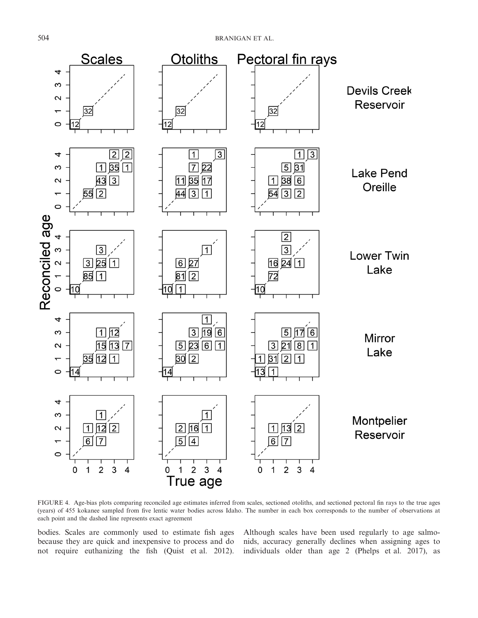

FIGURE 4. Age-bias plots comparing reconciled age estimates inferred from scales, sectioned otoliths, and sectioned pectoral fin rays to the true ages (years) of 455 kokanee sampled from five lentic water bodies across Idaho. The number in each box corresponds to the number of observations at each point and the dashed line represents exact agreement

bodies. Scales are commonly used to estimate fish ages because they are quick and inexpensive to process and do not require euthanizing the fish (Quist et al. 2012).

Although scales have been used regularly to age salmonids, accuracy generally declines when assigning ages to individuals older than age 2 (Phelps et al. 2017), as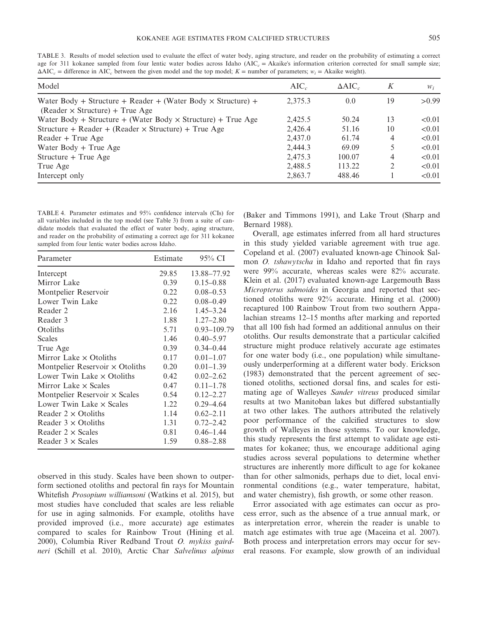TABLE 3. Results of model selection used to evaluate the effect of water body, aging structure, and reader on the probability of estimating a correct age for 311 kokanee sampled from four lentic water bodies across Idaho (AIC<sub>c</sub> = Akaike's information criterion corrected for small sample size;  $\Delta AIC_c$  = difference in AIC<sub>c</sub> between the given model and the top model;  $K$  = number of parameters;  $w_i$  = Akaike weight).

| Model                                                                                                         | $AIC_c$ | $\Delta AIC_c$ | K  | $W_i$  |
|---------------------------------------------------------------------------------------------------------------|---------|----------------|----|--------|
| Water Body + Structure + Reader + (Water Body $\times$ Structure) +<br>$(Reader \times Structure) + True Age$ | 2,375.3 | 0.0            | 19 | > 0.99 |
| Water Body + Structure + (Water Body $\times$ Structure) + True Age                                           | 2.425.5 | 50.24          | 13 | < 0.01 |
| Structure + Reader + (Reader $\times$ Structure) + True Age                                                   | 2.426.4 | 51.16          | 10 | < 0.01 |
| Reader + True Age                                                                                             | 2.437.0 | 61.74          | 4  | < 0.01 |
| Water Body $+$ True Age                                                                                       | 2,444.3 | 69.09          | 5  | < 0.01 |
| $Structure + True Age$                                                                                        | 2,475.3 | 100.07         | 4  | < 0.01 |
| True Age                                                                                                      | 2,488.5 | 113.22         | 2  | < 0.01 |
| Intercept only                                                                                                | 2,863.7 | 488.46         |    | < 0.01 |

TABLE 4. Parameter estimates and 95% confidence intervals (CIs) for all variables included in the top model (see Table 3) from a suite of candidate models that evaluated the effect of water body, aging structure, and reader on the probability of estimating a correct age for 311 kokanee sampled from four lentic water bodies across Idaho.

| Parameter                              | Estimate | $95\%$ CI     |
|----------------------------------------|----------|---------------|
| Intercept                              | 29.85    | 13.88-77.92   |
| Mirror Lake                            | 0.39     | $0.15 - 0.88$ |
| Montpelier Reservoir                   | 0.22     | $0.08 - 0.53$ |
| Lower Twin Lake                        | 0.22     | $0.08 - 0.49$ |
| Reader 2                               | 2.16     | $1.45 - 3.24$ |
| Reader 3                               | 1.88     | $1.27 - 2.80$ |
| Otoliths                               | 5.71     | 0.93-109.79   |
| Scales                                 | 1.46     | $0.40 - 5.97$ |
| True Age                               | 0.39     | $0.34 - 0.44$ |
| Mirror Lake $\times$ Otoliths          | 0.17     | $0.01 - 1.07$ |
| Montpelier Reservoir $\times$ Otoliths | 0.20     | $0.01 - 1.39$ |
| Lower Twin Lake $\times$ Otoliths      | 0.42     | $0.02 - 2.62$ |
| Mirror Lake $\times$ Scales            | 0.47     | $0.11 - 1.78$ |
| Montpelier Reservoir $\times$ Scales   | 0.54     | $0.12 - 2.27$ |
| Lower Twin Lake $\times$ Scales        | 1.22     | $0.29 - 4.64$ |
| Reader $2 \times$ Otoliths             | 1.14     | $0.62 - 2.11$ |
| Reader $3 \times$ Otoliths             | 1.31     | $0.72 - 2.42$ |
| Reader $2 \times$ Scales               | 0.81     | $0.46 - 1.44$ |
| Reader $3 \times$ Scales               | 1.59     | $0.88 - 2.88$ |

observed in this study. Scales have been shown to outperform sectioned otoliths and pectoral fin rays for Mountain Whitefish *Prosopium williamsoni* (Watkins et al. 2015), but most studies have concluded that scales are less reliable for use in aging salmonids. For example, otoliths have provided improved (i.e., more accurate) age estimates compared to scales for Rainbow Trout (Hining et al. 2000), Columbia River Redband Trout *O. mykiss gairdneri* (Schill et al. 2010), Arctic Char *Salvelinus alpinus* (Baker and Timmons 1991), and Lake Trout (Sharp and Bernard 1988).

Overall, age estimates inferred from all hard structures in this study yielded variable agreement with true age. Copeland et al. (2007) evaluated known‐age Chinook Salmon *O. tshawytscha* in Idaho and reported that fin rays were 99% accurate, whereas scales were 82% accurate. Klein et al. (2017) evaluated known‐age Largemouth Bass *Micropterus salmoides* in Georgia and reported that sectioned otoliths were 92% accurate. Hining et al. (2000) recaptured 100 Rainbow Trout from two southern Appalachian streams 12–15 months after marking and reported that all 100 fish had formed an additional annulus on their otoliths. Our results demonstrate that a particular calcified structure might produce relatively accurate age estimates for one water body (i.e., one population) while simultaneously underperforming at a different water body. Erickson (1983) demonstrated that the percent agreement of sectioned otoliths, sectioned dorsal fins, and scales for estimating age of Walleyes *Sander vitreus* produced similar results at two Manitoban lakes but differed substantially at two other lakes. The authors attributed the relatively poor performance of the calcified structures to slow growth of Walleyes in those systems. To our knowledge, this study represents the first attempt to validate age estimates for kokanee; thus, we encourage additional aging studies across several populations to determine whether structures are inherently more difficult to age for kokanee than for other salmonids, perhaps due to diet, local environmental conditions (e.g., water temperature, habitat, and water chemistry), fish growth, or some other reason.

Error associated with age estimates can occur as process error, such as the absence of a true annual mark, or as interpretation error, wherein the reader is unable to match age estimates with true age (Maceina et al. 2007). Both process and interpretation errors may occur for several reasons. For example, slow growth of an individual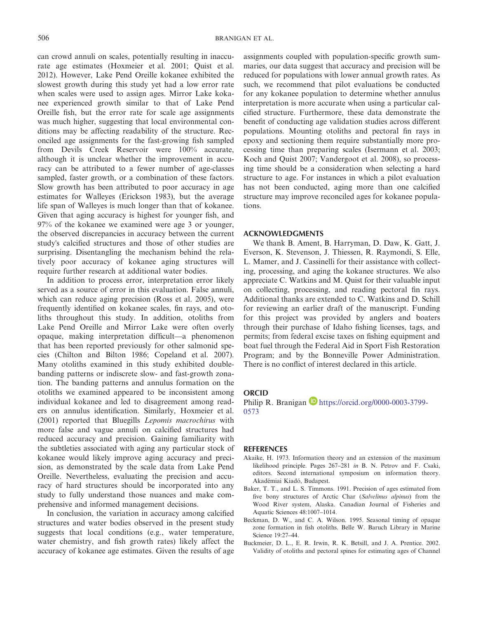can crowd annuli on scales, potentially resulting in inaccurate age estimates (Hoxmeier et al. 2001; Quist et al. 2012). However, Lake Pend Oreille kokanee exhibited the slowest growth during this study yet had a low error rate when scales were used to assign ages. Mirror Lake kokanee experienced growth similar to that of Lake Pend Oreille fish, but the error rate for scale age assignments was much higher, suggesting that local environmental conditions may be affecting readability of the structure. Reconciled age assignments for the fast‐growing fish sampled from Devils Creek Reservoir were 100% accurate, although it is unclear whether the improvement in accuracy can be attributed to a fewer number of age-classes sampled, faster growth, or a combination of these factors. Slow growth has been attributed to poor accuracy in age estimates for Walleyes (Erickson 1983), but the average life span of Walleyes is much longer than that of kokanee. Given that aging accuracy is highest for younger fish, and 97% of the kokanee we examined were age 3 or younger, the observed discrepancies in accuracy between the current study's calcified structures and those of other studies are surprising. Disentangling the mechanism behind the relatively poor accuracy of kokanee aging structures will require further research at additional water bodies.

In addition to process error, interpretation error likely served as a source of error in this evaluation. False annuli, which can reduce aging precision (Ross et al. 2005), were frequently identified on kokanee scales, fin rays, and otoliths throughout this study. In addition, otoliths from Lake Pend Oreille and Mirror Lake were often overly opaque, making interpretation difficult—a phenomenon that has been reported previously for other salmonid species (Chilton and Bilton 1986; Copeland et al. 2007). Many otoliths examined in this study exhibited doublebanding patterns or indiscrete slow‐ and fast‐growth zonation. The banding patterns and annulus formation on the otoliths we examined appeared to be inconsistent among individual kokanee and led to disagreement among readers on annulus identification. Similarly, Hoxmeier et al. (2001) reported that Bluegills *Lepomis macrochirus* with more false and vague annuli on calcified structures had reduced accuracy and precision. Gaining familiarity with the subtleties associated with aging any particular stock of kokanee would likely improve aging accuracy and precision, as demonstrated by the scale data from Lake Pend Oreille. Nevertheless, evaluating the precision and accuracy of hard structures should be incorporated into any study to fully understand those nuances and make comprehensive and informed management decisions.

In conclusion, the variation in accuracy among calcified structures and water bodies observed in the present study suggests that local conditions (e.g., water temperature, water chemistry, and fish growth rates) likely affect the accuracy of kokanee age estimates. Given the results of age assignments coupled with population‐specific growth summaries, our data suggest that accuracy and precision will be reduced for populations with lower annual growth rates. As such, we recommend that pilot evaluations be conducted for any kokanee population to determine whether annulus interpretation is more accurate when using a particular calcified structure. Furthermore, these data demonstrate the benefit of conducting age validation studies across different populations. Mounting otoliths and pectoral fin rays in epoxy and sectioning them require substantially more processing time than preparing scales (Isermann et al. 2003; Koch and Quist 2007; Vandergoot et al. 2008), so processing time should be a consideration when selecting a hard structure to age. For instances in which a pilot evaluation has not been conducted, aging more than one calcified structure may improve reconciled ages for kokanee populations.

## **ACKNOWLEDGMENTS**

We thank B. Ament, B. Harryman, D. Daw, K. Gatt, J. Everson, K. Stevenson, J. Thiessen, R. Raymondi, S. Elle, L. Mamer, and J. Cassinelli for their assistance with collecting, processing, and aging the kokanee structures. We also appreciate C. Watkins and M. Quist for their valuable input on collecting, processing, and reading pectoral fin rays. Additional thanks are extended to C. Watkins and D. Schill for reviewing an earlier draft of the manuscript. Funding for this project was provided by anglers and boaters through their purchase of Idaho fishing licenses, tags, and permits; from federal excise taxes on fishing equipment and boat fuel through the Federal Aid in Sport Fish Restoration Program; and by the Bonneville Power Administration. There is no conflict of interest declared in this article.

### **ORCID**

Philip R. Branigan D https://orcid.org/0000-0003-3799-0573

### **REFERENCES**

- Akaike, H. 1973. Information theory and an extension of the maximum likelihood principle. Pages 267–281 *in* B. N. Petrov and F. Csaki, editors. Second international symposium on information theory. Akadémiai Kiadó, Budapest.
- Baker, T. T., and L. S. Timmons. 1991. Precision of ages estimated from five bony structures of Arctic Char (*Salvelinus alpinus*) from the Wood River system, Alaska. Canadian Journal of Fisheries and Aquatic Sciences 48:1007–1014.
- Beckman, D. W., and C. A. Wilson. 1995. Seasonal timing of opaque zone formation in fish otoliths. Belle W. Baruch Library in Marine Science 19:27–44.
- Buckmeier, D. L., E. R. Irwin, R. K. Betsill, and J. A. Prentice. 2002. Validity of otoliths and pectoral spines for estimating ages of Channel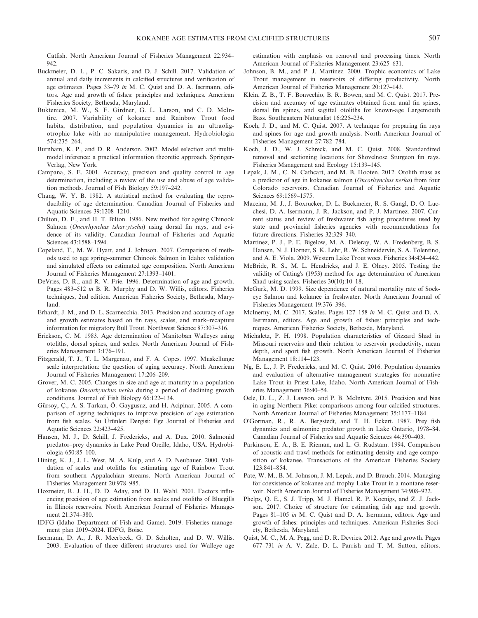Catfish. North American Journal of Fisheries Management 22:934– 942.

- Buckmeier, D. L., P. C. Sakaris, and D. J. Schill. 2017. Validation of annual and daily increments in calcified structures and verification of age estimates. Pages 33–79 *in* M. C. Quist and D. A. Isermann, editors. Age and growth of fishes: principles and techniques. American Fisheries Society, Bethesda, Maryland.
- Buktenica, M. W., S. F. Girdner, G. L. Larson, and C. D. McIntire. 2007. Variability of kokanee and Rainbow Trout food habits, distribution, and population dynamics in an ultraoligotrophic lake with no manipulative management. Hydrobiologia 574:235–264.
- Burnham, K. P., and D. R. Anderson. 2002. Model selection and multimodel inference: a practical information theoretic approach. Springer-Verlag, New York.
- Campana, S. E. 2001. Accuracy, precision and quality control in age determination, including a review of the use and abuse of age validation methods. Journal of Fish Biology 59:197–242.
- Chang, W. Y. B. 1982. A statistical method for evaluating the reproducibility of age determination. Canadian Journal of Fisheries and Aquatic Sciences 39:1208–1210.
- Chilton, D. E., and H. T. Bilton. 1986. New method for ageing Chinook Salmon (*Oncorhynchus tshawytscha*) using dorsal fin rays, and evidence of its validity. Canadian Journal of Fisheries and Aquatic Sciences 43:1588–1594.
- Copeland, T., M. W. Hyatt, and J. Johnson. 2007. Comparison of methods used to age spring–summer Chinook Salmon in Idaho: validation and simulated effects on estimated age composition. North American Journal of Fisheries Management 27:1393–1401.
- DeVries, D. R., and R. V. Frie. 1996. Determination of age and growth. Pages 483–512 *in* B. R. Murphy and D. W. Willis, editors. Fisheries techniques, 2nd edition. American Fisheries Society, Bethesda, Maryland.
- Erhardt, J. M., and D. L. Scarnecchia. 2013. Precision and accuracy of age and growth estimates based on fin rays, scales, and mark–recapture information for migratory Bull Trout. Northwest Science 87:307–316.
- Erickson, C. M. 1983. Age determination of Manitoban Walleyes using otoliths, dorsal spines, and scales. North American Journal of Fisheries Management 3:176–191.
- Fitzgerald, T. J., T. L. Margenau, and F. A. Copes. 1997. Muskellunge scale interpretation: the question of aging accuracy. North American Journal of Fisheries Management 17:206–209.
- Grover, M. C. 2005. Changes in size and age at maturity in a population of kokanee *Oncorhynchus nerka* during a period of declining growth conditions. Journal of Fish Biology 66:122–134.
- Gürsoy, Ç., A. S. Tarkan, Ö. Gaygusuz, and H. Acipinar. 2005. A comparison of ageing techniques to improve precision of age estimation from fish scales. Su Ürünleri Dergisi: Ege Journal of Fisheries and Aquatic Sciences 22:423–425.
- Hansen, M. J., D. Schill, J. Fredericks, and A. Dux. 2010. Salmonid predator–prey dynamics in Lake Pend Oreille, Idaho, USA. Hydrobiologia 650:85–100.
- Hining, K. J., J. L. West, M. A. Kulp, and A. D. Neubauer. 2000. Validation of scales and otoliths for estimating age of Rainbow Trout from southern Appalachian streams. North American Journal of Fisheries Management 20:978–985.
- Hoxmeier, R. J. H., D. D. Aday, and D. H. Wahl. 2001. Factors influencing precision of age estimation from scales and otoliths of Bluegills in Illinois reservoirs. North American Journal of Fisheries Management 21:374–380.
- IDFG (Idaho Department of Fish and Game). 2019. Fisheries management plan 2019–2024. IDFG, Boise.
- Isermann, D. A., J. R. Meerbeek, G. D. Scholten, and D. W. Willis. 2003. Evaluation of three different structures used for Walleye age

estimation with emphasis on removal and processing times. North American Journal of Fisheries Management 23:625–631.

- Johnson, B. M., and P. J. Martinez. 2000. Trophic economics of Lake Trout management in reservoirs of differing productivity. North American Journal of Fisheries Management 20:127–143.
- Klein, Z. B., T. F. Bonvechio, B. R. Bowen, and M. C. Quist. 2017. Precision and accuracy of age estimates obtained from anal fin spines, dorsal fin spines, and sagittal otoliths for known‐age Largemouth Bass. Southeastern Naturalist 16:225–234.
- Koch, J. D., and M. C. Quist. 2007. A technique for preparing fin rays and spines for age and growth analysis. North American Journal of Fisheries Management 27:782–784.
- Koch, J. D., W. J. Schreck, and M. C. Quist. 2008. Standardized removal and sectioning locations for Shovelnose Sturgeon fin rays. Fisheries Management and Ecology 15:139–145.
- Lepak, J. M., C. N. Cathcart, and M. B. Hooten. 2012. Otolith mass as a predictor of age in kokanee salmon (*Oncorhynchus nerka*) from four Colorado reservoirs. Canadian Journal of Fisheries and Aquatic Sciences 69:1569–1575.
- Maceina, M. J., J. Boxrucker, D. L. Buckmeier, R. S. Gangl, D. O. Lucchesi, D. A. Isermann, J. R. Jackson, and P. J. Martinez. 2007. Current status and review of freshwater fish aging procedures used by state and provincial fisheries agencies with recommendations for future directions. Fisheries 32:329–340.
- Martinez, P. J., P. E. Bigelow, M. A. Deleray, W. A. Fredenberg, B. S. Hansen, N. J. Horner, S. K. Lehr, R. W. Schneidervin, S. A. Tolentino, and A. E. Viola. 2009. Western Lake Trout woes. Fisheries 34:424–442.
- McBride, R. S., M. L. Hendricks, and J. E. Olney. 2005. Testing the validity of Cating's (1953) method for age determination of American Shad using scales. Fisheries 30(10):10–18.
- McGurk, M. D. 1999. Size dependence of natural mortality rate of Sockeye Salmon and kokanee in freshwater. North American Journal of Fisheries Management 19:376–396.
- McInerny, M. C. 2017. Scales. Pages 127–158 *in* M. C. Quist and D. A. Isermann, editors. Age and growth of fishes: principles and techniques. American Fisheries Society, Bethesda, Maryland.
- Michaletz, P. H. 1998. Population characteristics of Gizzard Shad in Missouri reservoirs and their relation to reservoir productivity, mean depth, and sport fish growth. North American Journal of Fisheries Management 18:114–123.
- Ng, E. L., J. P. Fredericks, and M. C. Quist. 2016. Population dynamics and evaluation of alternative management strategies for nonnative Lake Trout in Priest Lake, Idaho. North American Journal of Fisheries Management 36:40–54.
- Oele, D. L., Z. J. Lawson, and P. B. McIntyre. 2015. Precision and bias in aging Northern Pike: comparisons among four calcified structures. North American Journal of Fisheries Management 35:1177–1184.
- O'Gorman, R., R. A. Bergstedt, and T. H. Eckert. 1987. Prey fish dynamics and salmonine predator growth in Lake Ontario, 1978–84. Canadian Journal of Fisheries and Aquatic Sciences 44:390–403.
- Parkinson, E. A., B. E. Rieman, and L. G. Rudstam. 1994. Comparison of acoustic and trawl methods for estimating density and age composition of kokanee. Transactions of the American Fisheries Society 123:841–854.
- Pate, W. M., B. M. Johnson, J. M. Lepak, and D. Brauch. 2014. Managing for coexistence of kokanee and trophy Lake Trout in a montane reservoir. North American Journal of Fisheries Management 34:908–922.
- Phelps, Q. E., S. J. Tripp, M. J. Hamel, R. P. Koenigs, and Z. J. Jackson. 2017. Choice of structure for estimating fish age and growth. Pages 81–105 *in* M. C. Quist and D. A. Isermann, editors. Age and growth of fishes: principles and techniques. American Fisheries Society, Bethesda, Maryland.
- Quist, M. C., M. A. Pegg, and D. R. Devries. 2012. Age and growth. Pages 677–731 *in* A. V. Zale, D. L. Parrish and T. M. Sutton, editors.